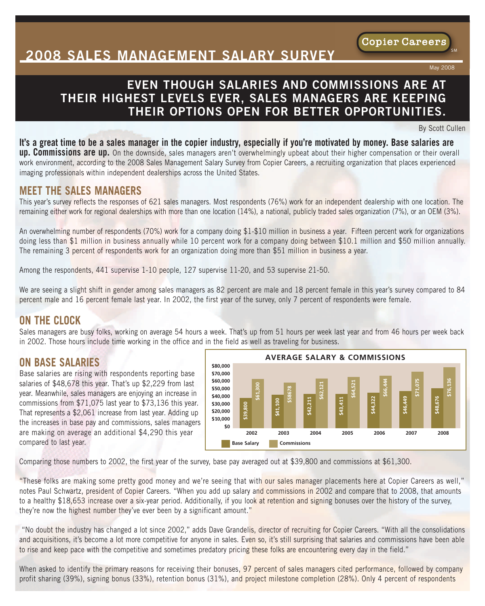# **2008 SALES MANAGEMENT SALARY SURVEY**

### **EVEN THOUGH SALARIES AND COMMISSIONS ARE AT THEIR HIGHEST LEVELS EVER, SALES MANAGERS ARE KEEPING THEIR OPTIONS OPEN FOR BETTER OPPORTUNITIES.**

By Scott Cullen

It's a great time to be a sales manager in the copier industry, especially if you're motivated by money. Base salaries are **up. Commissions are up.** On the downside, sales managers aren't overwhelmingly upbeat about their higher compensation or their overall work environment, according to the 2008 Sales Management Salary Survey from Copier Careers, a recruiting organization that places experienced imaging professionals within independent dealerships across the United States.

#### **MEET THE SALES MANAGERS**

This year's survey reflects the responses of 621 sales managers. Most respondents (76%) work for an independent dealership with one location. The remaining either work for regional dealerships with more than one location (14%), a national, publicly traded sales organization (7%), or an OEM (3%).

An overwhelming number of respondents (70%) work for a company doing \$1-\$10 million in business a year. Fifteen percent work for organizations doing less than \$1 million in business annually while 10 percent work for a company doing between \$10.1 million and \$50 million annually. The remaining 3 percent of respondents work for an organization doing more than \$51 million in business a year.

Among the respondents, 441 supervise 1-10 people, 127 supervise 11-20, and 53 supervise 21-50.

We are seeing a slight shift in gender among sales managers as 82 percent are male and 18 percent female in this year's survey compared to 84 percent male and 16 percent female last year. In 2002, the first year of the survey, only 7 percent of respondents were female.

#### **ON THE CLOCK**

Sales managers are busy folks, working on average 54 hours a week. That's up from 51 hours per week last year and from 46 hours per week back in 2002. Those hours include time working in the office and in the field as well as traveling for business.

#### **ON BASE SALARIES**

Base salaries are rising with respondents reporting base salaries of \$48,678 this year. That's up \$2,229 from last year. Meanwhile, sales managers are enjoying an increase in commissions from \$71,075 last year to \$73,136 this year. That represents a \$2,061 increase from last year. Adding up the increases in base pay and commissions, sales managers are making on average an additional \$4,290 this year compared to last year.



Comparing those numbers to 2002, the first year of the survey, base pay averaged out at \$39,800 and commissions at \$61,300.

"These folks are making some pretty good money and we're seeing that with our sales manager placements here at Copier Careers as well," notes Paul Schwartz, president of Copier Careers. "When you add up salary and commissions in 2002 and compare that to 2008, that amounts to a healthy \$18,653 increase over a six-year period. Additionally, if you look at retention and signing bonuses over the history of the survey, they're now the highest number they've ever been by a significant amount."

"No doubt the industry has changed a lot since 2002," adds Dave Grandelis, director of recruiting for Copier Careers. "With all the consolidations and acquisitions, it's become a lot more competitive for anyone in sales. Even so, it's still surprising that salaries and commissions have been able to rise and keep pace with the competitive and sometimes predatory pricing these folks are encountering every day in the field."

When asked to identify the primary reasons for receiving their bonuses, 97 percent of sales managers cited performance, followed by company profit sharing (39%), signing bonus (33%), retention bonus (31%), and project milestone completion (28%). Only 4 percent of respondents

S M<br>S M May 2008

**Copier Careers**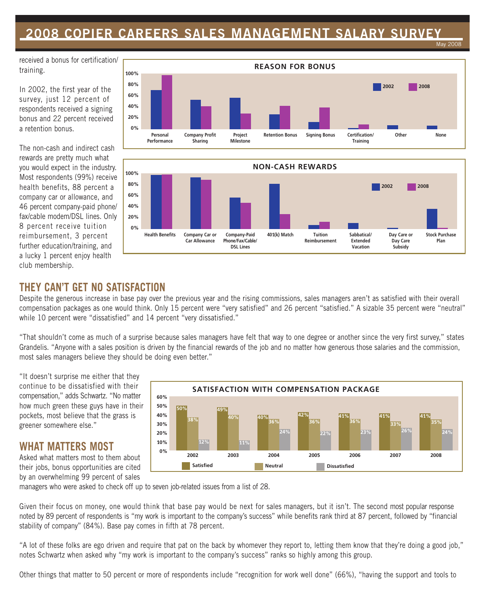## **2008 COPIER CAREERS SALES MANAGEMENT SALARY SURVEY**

May 2008

received a bonus for certification/ training.

In 2002, the first year of the survey, just 12 percent of respondents received a signing bonus and 22 percent received a retention bonus.

The non-cash and indirect cash rewards are pretty much what you would expect in the industry. Most respondents (99%) receive health benefits, 88 percent a company car or allowance, and 46 percent company-paid phone/ fax/cable modem/DSL lines. Only 8 percent receive tuition reimbursement, 3 percent further education/training, and a lucky 1 percent enjoy health club membership.





### **THEY CAN'T GET NO SATISFACTION**

Despite the generous increase in base pay over the previous year and the rising commissions, sales managers aren't as satisfied with their overall compensation packages as one would think. Only 15 percent were "very satisfied" and 26 percent "satisfied." A sizable 35 percent were "neutral" while 10 percent were "dissatisfied" and 14 percent "very dissatisfied."

"That shouldn't come as much of a surprise because sales managers have felt that way to one degree or another since the very first survey," states Grandelis. "Anyone with a sales position is driven by the financial rewards of the job and no matter how generous those salaries and the commission, most sales managers believe they should be doing even better."

"It doesn't surprise me either that they continue to be dissatisfied with their compensation," adds Schwartz. "No matter how much green these guys have in their pockets, most believe that the grass is greener somewhere else."

#### **WHAT MATTERS MOST**

Asked what matters most to them about their jobs, bonus opportunities are cited by an overwhelming 99 percent of sales



managers who were asked to check off up to seven job-related issues from a list of 28.

Given their focus on money, one would think that base pay would be next for sales managers, but it isn't. The second most popular response noted by 89 percent of respondents is "my work is important to the company's success" while benefits rank third at 87 percent, followed by "financial stability of company" (84%). Base pay comes in fifth at 78 percent.

"A lot of these folks are ego driven and require that pat on the back by whomever they report to, letting them know that they're doing a good job," notes Schwartz when asked why "my work is important to the company's success" ranks so highly among this group.

Other things that matter to 50 percent or more of respondents include "recognition for work well done" (66%), "having the support and tools to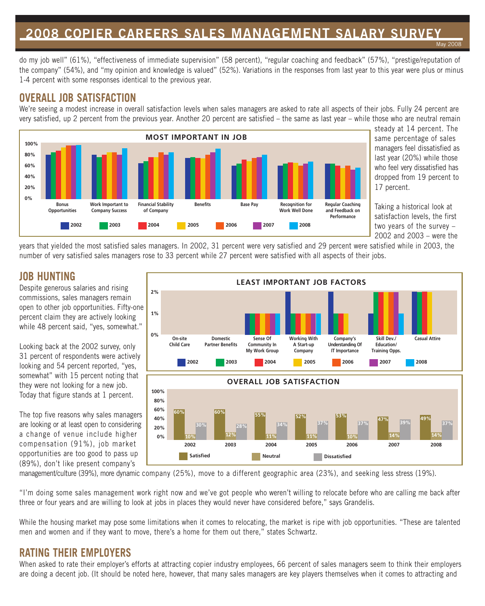## **2008 COPIER CAREERS SALES MANAGEMENT SALARY SURVEY**

May 2008

do my job well" (61%), "effectiveness of immediate supervision" (58 percent), "regular coaching and feedback" (57%), "prestige/reputation of the company" (54%), and "my opinion and knowledge is valued" (52%). Variations in the responses from last year to this year were plus or minus 1-4 percent with some responses identical to the previous year.

#### **OVERALL JOB SATISFACTION**

We're seeing a modest increase in overall satisfaction levels when sales managers are asked to rate all aspects of their jobs. Fully 24 percent are very satisfied, up 2 percent from the previous year. Another 20 percent are satisfied – the same as last year – while those who are neutral remain



steady at 14 percent. The same percentage of sales managers feel dissatisfied as last year (20%) while those who feel very dissatisfied has dropped from 19 percent to 17 percent.

Taking a historical look at satisfaction levels, the first two years of the survey – 2002 and 2003 – were the

years that yielded the most satisfied sales managers. In 2002, 31 percent were very satisfied and 29 percent were satisfied while in 2003, the number of very satisfied sales managers rose to 33 percent while 27 percent were satisfied with all aspects of their jobs.

### **JOB HUNTING**

Despite generous salaries and rising commissions, sales managers remain open to other job opportunities. Fifty-one percent claim they are actively looking while 48 percent said, "yes, somewhat."

Looking back at the 2002 survey, only 31 percent of respondents were actively looking and 54 percent reported, "yes, somewhat" with 15 percent noting that they were not looking for a new job. Today that figure stands at 1 percent.

The top five reasons why sales managers are looking or at least open to considering a change of venue include higher compensation (91%), job market opportunities are too good to pass up (89%), don't like present company's



management/culture (39%), more dynamic company (25%), move to a different geographic area (23%), and seeking less stress (19%).

"I'm doing some sales management work right now and we've got people who weren't willing to relocate before who are calling me back after three or four years and are willing to look at jobs in places they would never have considered before," says Grandelis.

While the housing market may pose some limitations when it comes to relocating, the market is ripe with job opportunities. "These are talented men and women and if they want to move, there's a home for them out there," states Schwartz.

#### **RATING THEIR EMPLOYERS**

When asked to rate their employer's efforts at attracting copier industry employees, 66 percent of sales managers seem to think their employers are doing a decent job. (It should be noted here, however, that many sales managers are key players themselves when it comes to attracting and